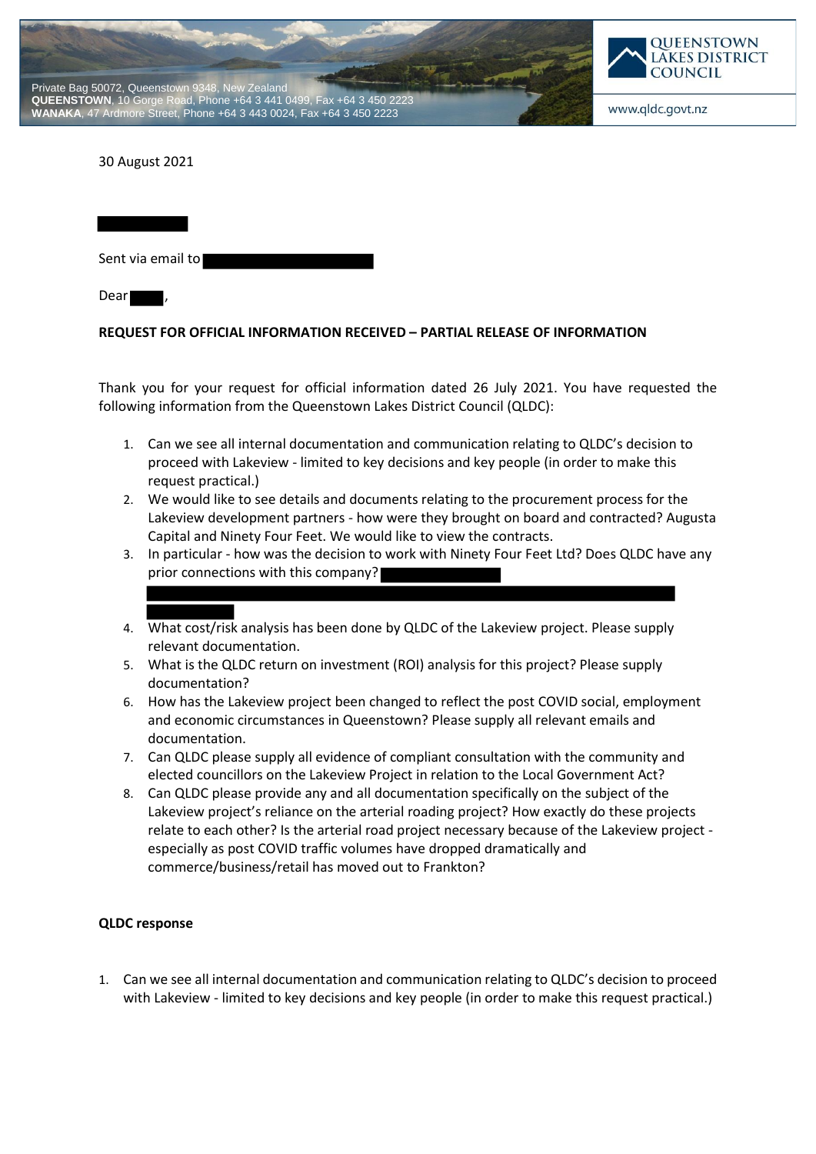



30 August 2021

| Sent via email to |  |  |
|-------------------|--|--|
|                   |  |  |

Dear

# **REQUEST FOR OFFICIAL INFORMATION RECEIVED – PARTIAL RELEASE OF INFORMATION**

Thank you for your request for official information dated 26 July 2021. You have requested the following information from the Queenstown Lakes District Council (QLDC):

- 1. Can we see all internal documentation and communication relating to QLDC's decision to proceed with Lakeview - limited to key decisions and key people (in order to make this request practical.)
- 2. We would like to see details and documents relating to the procurement process for the Lakeview development partners - how were they brought on board and contracted? Augusta Capital and Ninety Four Feet. We would like to view the contracts.
- 3. In particular how was the decision to work with Ninety Four Feet Ltd? Does QLDC have any prior connections with this company?
- 4. What cost/risk analysis has been done by QLDC of the Lakeview project. Please supply relevant documentation.
- 5. What is the QLDC return on investment (ROI) analysis for this project? Please supply documentation?
- 6. How has the Lakeview project been changed to reflect the post COVID social, employment and economic circumstances in Queenstown? Please supply all relevant emails and documentation.
- 7. Can QLDC please supply all evidence of compliant consultation with the community and elected councillors on the Lakeview Project in relation to the Local Government Act?
- 8. Can QLDC please provide any and all documentation specifically on the subject of the Lakeview project's reliance on the arterial roading project? How exactly do these projects relate to each other? Is the arterial road project necessary because of the Lakeview project especially as post COVID traffic volumes have dropped dramatically and commerce/business/retail has moved out to Frankton?

#### **QLDC response**

1. Can we see all internal documentation and communication relating to QLDC's decision to proceed with Lakeview - limited to key decisions and key people (in order to make this request practical.)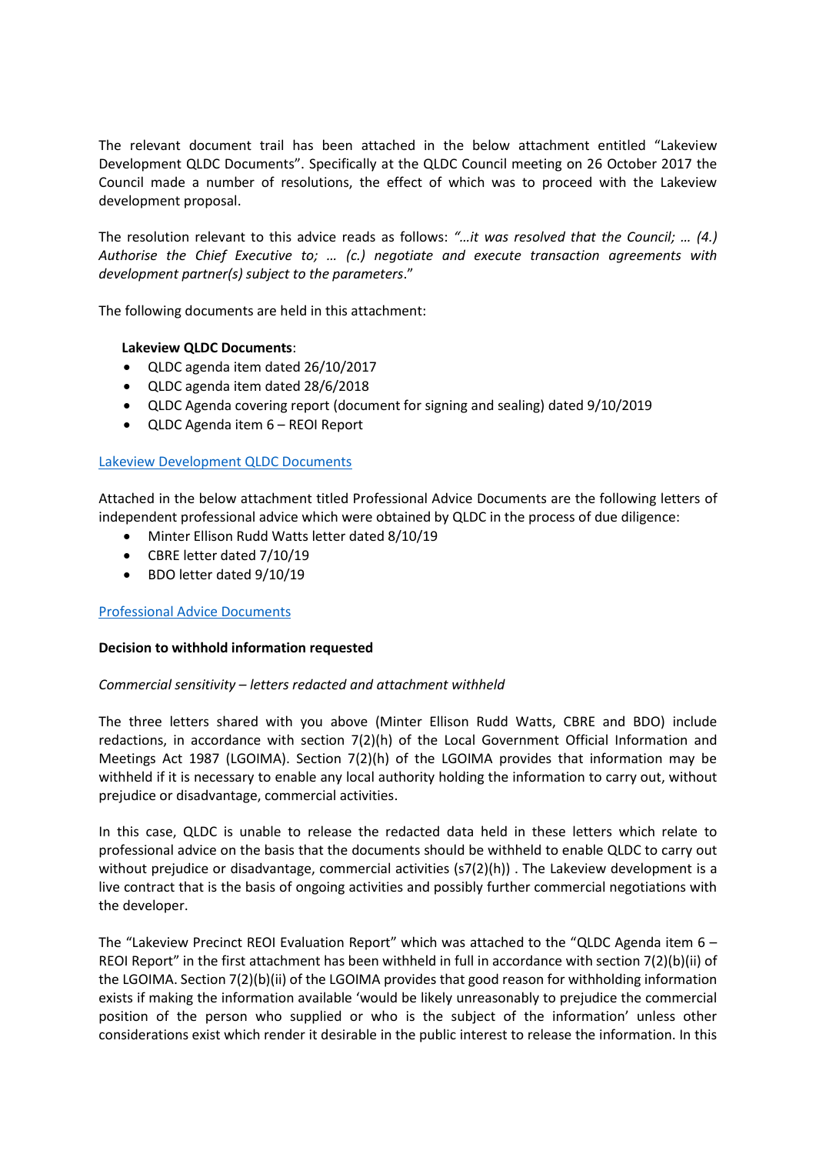The relevant document trail has been attached in the below attachment entitled "Lakeview Development QLDC Documents". Specifically at the QLDC Council meeting on 26 October 2017 the Council made a number of resolutions, the effect of which was to proceed with the Lakeview development proposal.

The resolution relevant to this advice reads as follows: *"…it was resolved that the Council; … (4.) Authorise the Chief Executive to; … (c.) negotiate and execute transaction agreements with development partner(s) subject to the parameters*."

The following documents are held in this attachment:

## **Lakeview QLDC Documents**:

- QLDC agenda item dated 26/10/2017
- QLDC agenda item dated 28/6/2018
- QLDC Agenda covering report (document for signing and sealing) dated 9/10/2019
- QLDC Agenda item 6 REOI Report

### Lakeview Development QLDC Documents

Attached in the below attachment titled Professional Advice Documents are the following letters of independent professional advice which were obtained by QLDC in the process of due diligence:

- Minter Ellison Rudd Watts letter dated 8/10/19
- CBRE letter dated 7/10/19
- BDO letter dated 9/10/19

### Professional Advice Documents

### **Decision to withhold information requested**

### *Commercial sensitivity – letters redacted and attachment withheld*

The three letters shared with you above (Minter Ellison Rudd Watts, CBRE and BDO) include redactions, in accordance with section 7(2)(h) of the Local Government Official Information and Meetings Act 1987 (LGOIMA). Section 7(2)(h) of the LGOIMA provides that information may be withheld if it is necessary to enable any local authority holding the information to carry out, without prejudice or disadvantage, commercial activities.

In this case, QLDC is unable to release the redacted data held in these letters which relate to professional advice on the basis that the documents should be withheld to enable QLDC to carry out without prejudice or disadvantage, commercial activities (s7(2)(h)). The Lakeview development is a live contract that is the basis of ongoing activities and possibly further commercial negotiations with the developer.

The "Lakeview Precinct REOI Evaluation Report" which was attached to the "QLDC Agenda item  $6 -$ REOI Report" in the first attachment has been withheld in full in accordance with section 7(2)(b)(ii) of the LGOIMA. Section 7(2)(b)(ii) of the LGOIMA provides that good reason for withholding information exists if making the information available 'would be likely unreasonably to prejudice the commercial position of the person who supplied or who is the subject of the information' unless other considerations exist which render it desirable in the public interest to release the information. In this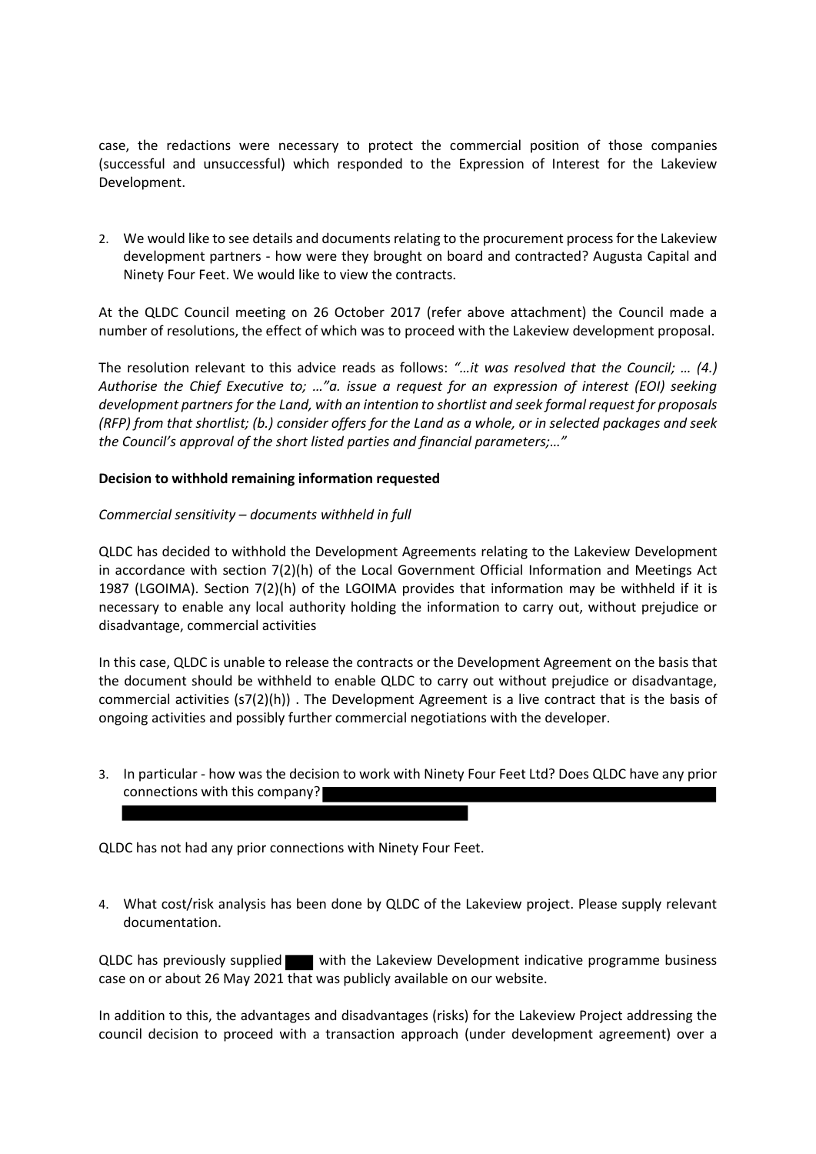case, the redactions were necessary to protect the commercial position of those companies (successful and unsuccessful) which responded to the Expression of Interest for the Lakeview Development.

2. We would like to see details and documents relating to the procurement process for the Lakeview development partners - how were they brought on board and contracted? Augusta Capital and Ninety Four Feet. We would like to view the contracts.

At the QLDC Council meeting on 26 October 2017 (refer above attachment) the Council made a number of resolutions, the effect of which was to proceed with the Lakeview development proposal.

The resolution relevant to this advice reads as follows: *"…it was resolved that the Council; … (4.) Authorise the Chief Executive to; …"a. issue a request for an expression of interest (EOI) seeking development partners for the Land, with an intention to shortlist and seek formal request for proposals (RFP) from that shortlist; (b.) consider offers for the Land as a whole, or in selected packages and seek the Council's approval of the short listed parties and financial parameters;…"*

### **Decision to withhold remaining information requested**

#### *Commercial sensitivity – documents withheld in full*

QLDC has decided to withhold the Development Agreements relating to the Lakeview Development in accordance with section 7(2)(h) of the Local Government Official Information and Meetings Act 1987 (LGOIMA). Section 7(2)(h) of the LGOIMA provides that information may be withheld if it is necessary to enable any local authority holding the information to carry out, without prejudice or disadvantage, commercial activities

In this case, QLDC is unable to release the contracts or the Development Agreement on the basis that the document should be withheld to enable QLDC to carry out without prejudice or disadvantage, commercial activities (s7(2)(h)) . The Development Agreement is a live contract that is the basis of ongoing activities and possibly further commercial negotiations with the developer.

3. In particular - how was the decision to work with Ninety Four Feet Ltd? Does QLDC have any prior connections with this company?

QLDC has not had any prior connections with Ninety Four Feet.

4. What cost/risk analysis has been done by QLDC of the Lakeview project. Please supply relevant documentation.

QLDC has previously supplied with the Lakeview Development indicative programme business case on or about 26 May 2021 that was publicly available on our website.

In addition to this, the advantages and disadvantages (risks) for the Lakeview Project addressing the council decision to proceed with a transaction approach (under development agreement) over a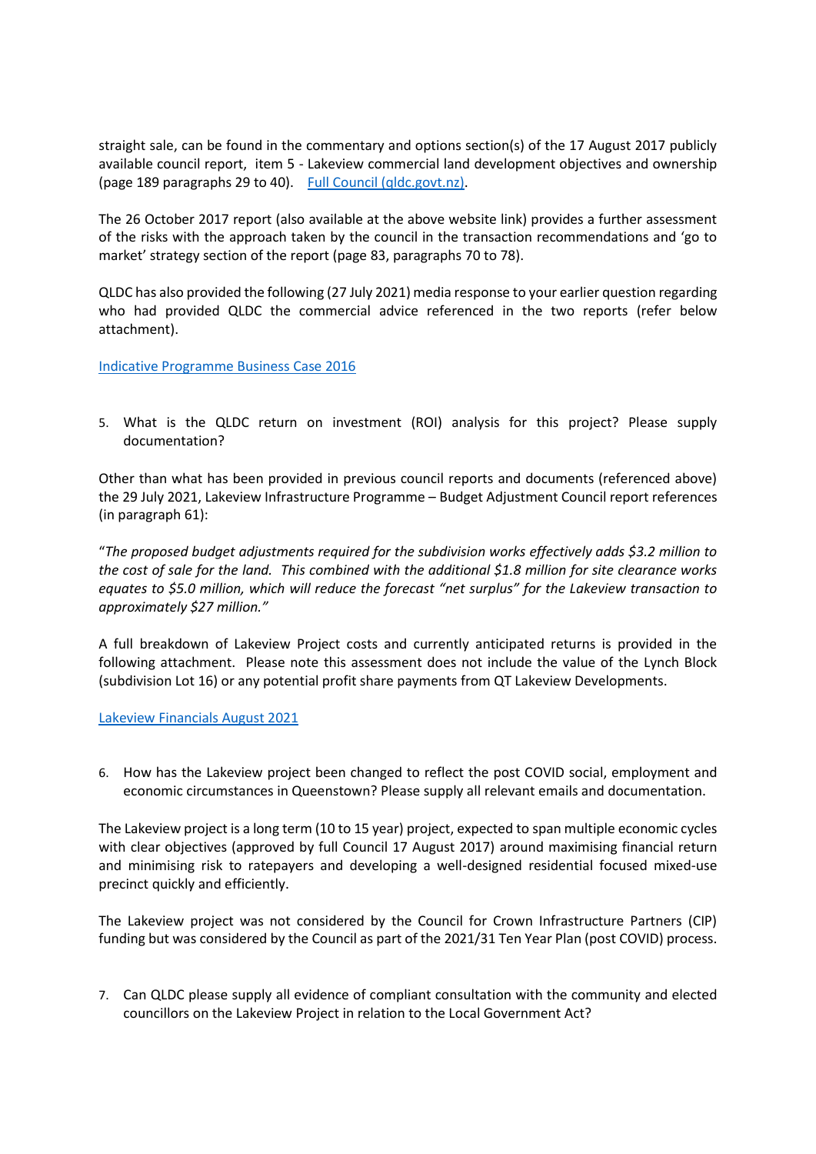straight sale, can be found in the commentary and options section(s) of the 17 August 2017 publicly available council report, item 5 - Lakeview commercial land development objectives and ownership (page 189 paragraphs 29 to 40). Full Council (qldc.govt.nz).

The 26 October 2017 report (also available at the above website link) provides a further assessment of the risks with the approach taken by the council in the transaction recommendations and 'go to market' strategy section of the report (page 83, paragraphs 70 to 78).

QLDC has also provided the following (27 July 2021) media response to your earlier question regarding who had provided QLDC the commercial advice referenced in the two reports (refer below attachment).

Indicative Programme Business Case 2016

5. What is the QLDC return on investment (ROI) analysis for this project? Please supply documentation?

Other than what has been provided in previous council reports and documents (referenced above) the 29 July 2021, Lakeview Infrastructure Programme – Budget Adjustment Council report references (in paragraph 61):

"*The proposed budget adjustments required for the subdivision works effectively adds \$3.2 million to the cost of sale for the land. This combined with the additional \$1.8 million for site clearance works equates to \$5.0 million, which will reduce the forecast "net surplus" for the Lakeview transaction to approximately \$27 million."*

A full breakdown of Lakeview Project costs and currently anticipated returns is provided in the following attachment. Please note this assessment does not include the value of the Lynch Block (subdivision Lot 16) or any potential profit share payments from QT Lakeview Developments.

Lakeview Financials August 2021

6. How has the Lakeview project been changed to reflect the post COVID social, employment and economic circumstances in Queenstown? Please supply all relevant emails and documentation.

The Lakeview project is a long term (10 to 15 year) project, expected to span multiple economic cycles with clear objectives (approved by full Council 17 August 2017) around maximising financial return and minimising risk to ratepayers and developing a well-designed residential focused mixed-use precinct quickly and efficiently.

The Lakeview project was not considered by the Council for Crown Infrastructure Partners (CIP) funding but was considered by the Council as part of the 2021/31 Ten Year Plan (post COVID) process.

7. Can QLDC please supply all evidence of compliant consultation with the community and elected councillors on the Lakeview Project in relation to the Local Government Act?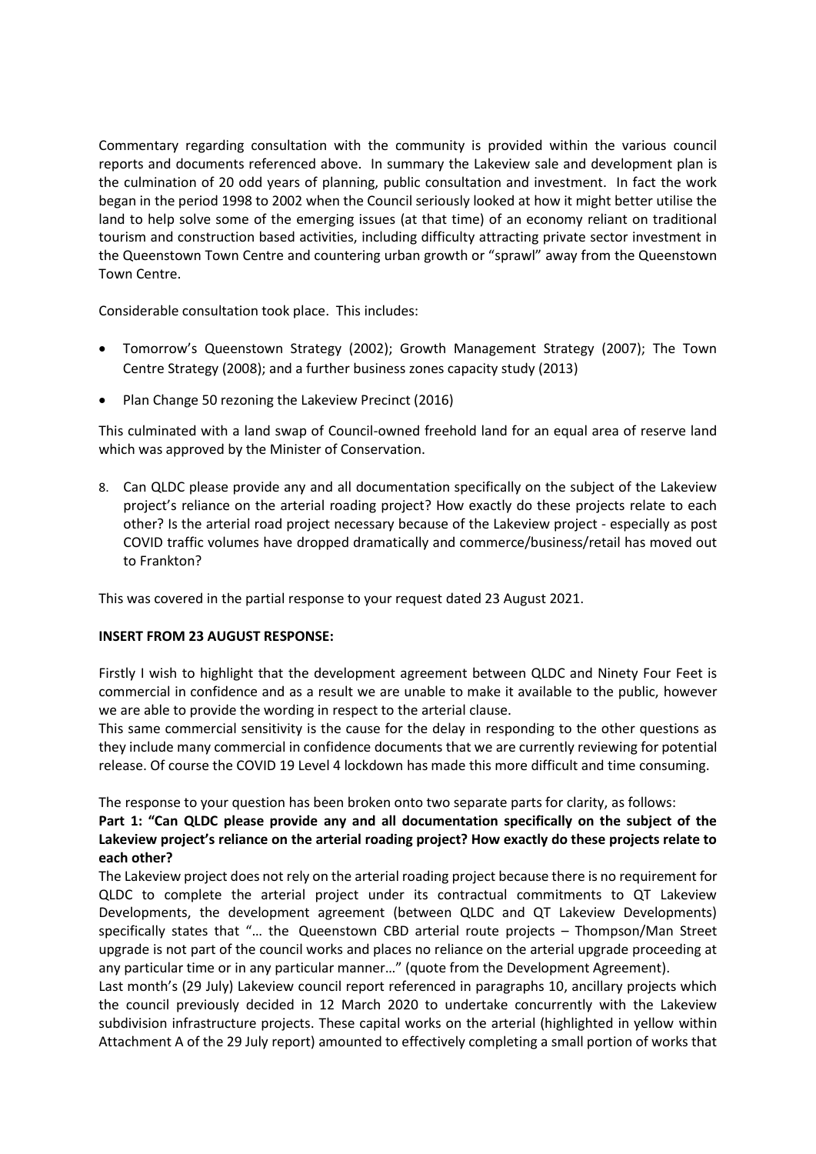Commentary regarding consultation with the community is provided within the various council reports and documents referenced above. In summary the Lakeview sale and development plan is the culmination of 20 odd years of planning, public consultation and investment. In fact the work began in the period 1998 to 2002 when the Council seriously looked at how it might better utilise the land to help solve some of the emerging issues (at that time) of an economy reliant on traditional tourism and construction based activities, including difficulty attracting private sector investment in the Queenstown Town Centre and countering urban growth or "sprawl" away from the Queenstown Town Centre.

Considerable consultation took place. This includes:

- Tomorrow's Queenstown Strategy (2002); Growth Management Strategy (2007); The Town Centre Strategy (2008); and a further business zones capacity study (2013)
- Plan Change 50 rezoning the Lakeview Precinct (2016)

This culminated with a land swap of Council-owned freehold land for an equal area of reserve land which was approved by the Minister of Conservation.

8. Can QLDC please provide any and all documentation specifically on the subject of the Lakeview project's reliance on the arterial roading project? How exactly do these projects relate to each other? Is the arterial road project necessary because of the Lakeview project - especially as post COVID traffic volumes have dropped dramatically and commerce/business/retail has moved out to Frankton?

This was covered in the partial response to your request dated 23 August 2021.

# **INSERT FROM 23 AUGUST RESPONSE:**

Firstly I wish to highlight that the development agreement between QLDC and Ninety Four Feet is commercial in confidence and as a result we are unable to make it available to the public, however we are able to provide the wording in respect to the arterial clause.

This same commercial sensitivity is the cause for the delay in responding to the other questions as they include many commercial in confidence documents that we are currently reviewing for potential release. Of course the COVID 19 Level 4 lockdown has made this more difficult and time consuming.

The response to your question has been broken onto two separate parts for clarity, as follows:

# **Part 1: "Can QLDC please provide any and all documentation specifically on the subject of the Lakeview project's reliance on the arterial roading project? How exactly do these projects relate to each other?**

The Lakeview project does not rely on the arterial roading project because there is no requirement for QLDC to complete the arterial project under its contractual commitments to QT Lakeview Developments, the development agreement (between QLDC and QT Lakeview Developments) specifically states that "… the Queenstown CBD arterial route projects – Thompson/Man Street upgrade is not part of the council works and places no reliance on the arterial upgrade proceeding at any particular time or in any particular manner…" (quote from the Development Agreement).

Last month's (29 July) Lakeview council report referenced in paragraphs 10, ancillary projects which the council previously decided in 12 March 2020 to undertake concurrently with the Lakeview subdivision infrastructure projects. These capital works on the arterial (highlighted in yellow within Attachment A of the 29 July report) amounted to effectively completing a small portion of works that